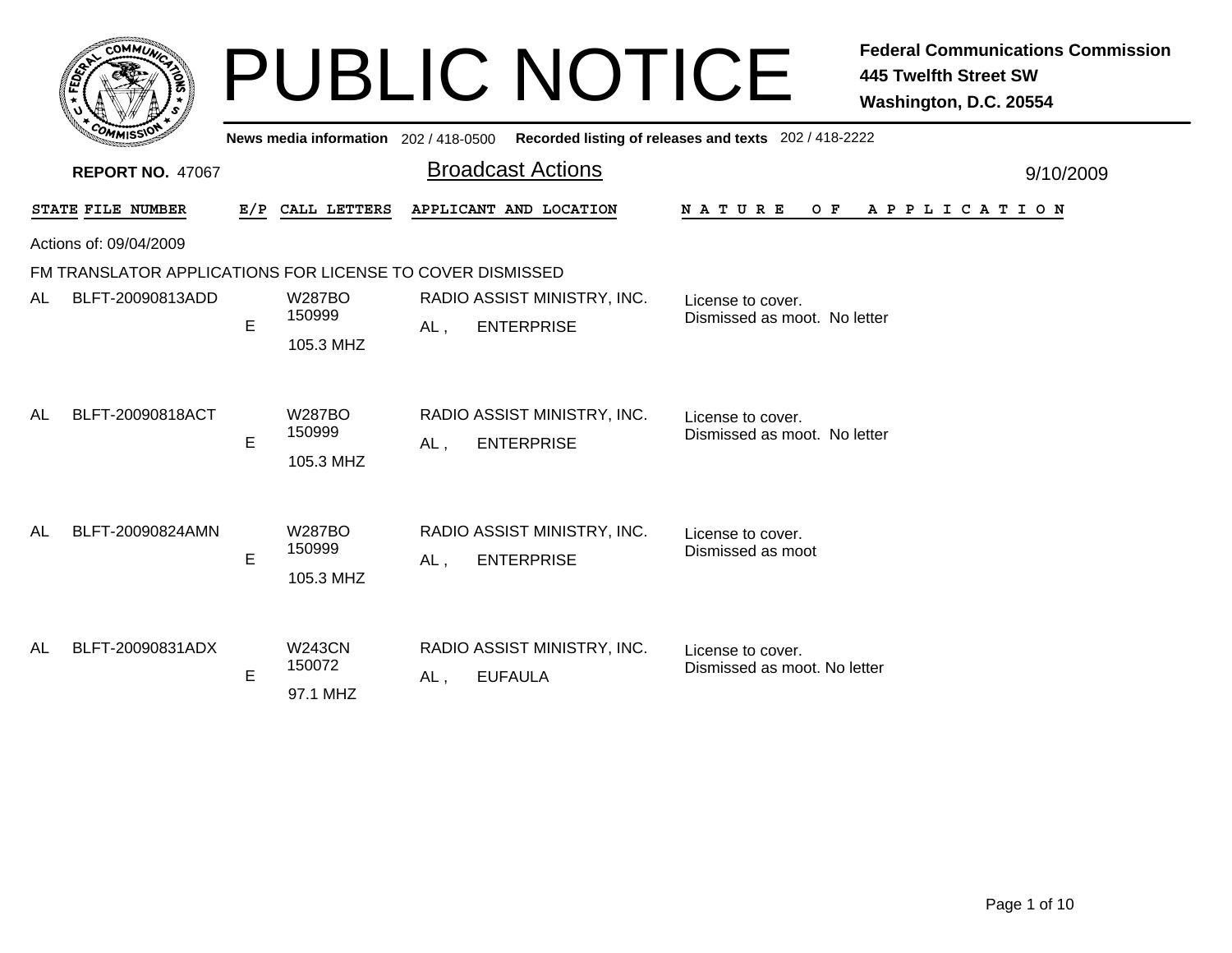|           | <b>COMMUT</b>                                             |     |                                      |        | <b>PUBLIC NOTICE</b>                             |                                                       | <b>Federal Communications Commission</b><br><b>445 Twelfth Street SW</b><br>Washington, D.C. 20554 |
|-----------|-----------------------------------------------------------|-----|--------------------------------------|--------|--------------------------------------------------|-------------------------------------------------------|----------------------------------------------------------------------------------------------------|
|           |                                                           |     | News media information 202/418-0500  |        |                                                  | Recorded listing of releases and texts 202 / 418-2222 |                                                                                                    |
|           | <b>REPORT NO. 47067</b>                                   |     |                                      |        | <b>Broadcast Actions</b>                         |                                                       | 9/10/2009                                                                                          |
|           | STATE FILE NUMBER                                         | E/P | CALL LETTERS                         |        | APPLICANT AND LOCATION                           | $O$ $F$<br><b>NATURE</b>                              | APPLICATION                                                                                        |
|           | Actions of: 09/04/2009                                    |     |                                      |        |                                                  |                                                       |                                                                                                    |
|           | FM TRANSLATOR APPLICATIONS FOR LICENSE TO COVER DISMISSED |     |                                      |        |                                                  |                                                       |                                                                                                    |
| AL        | BLFT-20090813ADD                                          | E   | <b>W287BO</b><br>150999<br>105.3 MHZ | AL,    | RADIO ASSIST MINISTRY, INC.<br><b>ENTERPRISE</b> | License to cover.<br>Dismissed as moot. No letter     |                                                                                                    |
| <b>AL</b> | BLFT-20090818ACT                                          | E   | <b>W287BO</b><br>150999<br>105.3 MHZ | AL,    | RADIO ASSIST MINISTRY, INC.<br><b>ENTERPRISE</b> | License to cover.<br>Dismissed as moot. No letter     |                                                                                                    |
| AL        | BLFT-20090824AMN                                          | E   | <b>W287BO</b><br>150999<br>105.3 MHZ | AL,    | RADIO ASSIST MINISTRY, INC.<br><b>ENTERPRISE</b> | License to cover.<br>Dismissed as moot                |                                                                                                    |
| AL        | BLFT-20090831ADX                                          | E   | <b>W243CN</b><br>150072<br>97.1 MHZ  | $AL$ , | RADIO ASSIST MINISTRY, INC.<br><b>EUFAULA</b>    | License to cover.<br>Dismissed as moot. No letter     |                                                                                                    |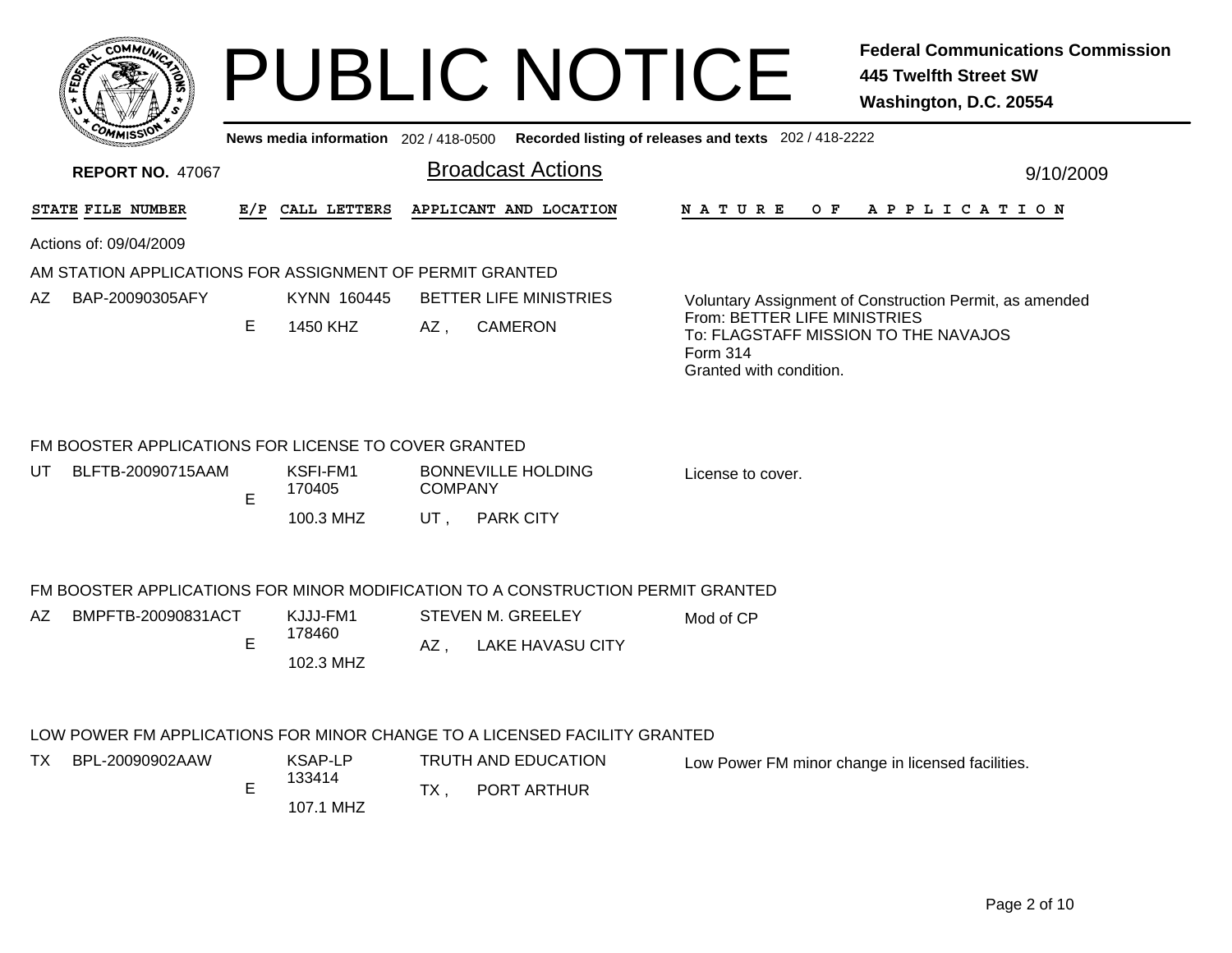|                  | <b>CO</b><br><b>MMUNA</b> |         |
|------------------|---------------------------|---------|
| o                |                           | ್<br>ద్ |
|                  |                           | r       |
| CO <sub>MI</sub> | MISS <sup>\</sup>         |         |
|                  |                           |         |

## PUBLIC NOTICE **Federal Communications Commission 445 Twelfth Street SW Washington, D.C. 20554**

| News media information 202/418-0500 Recorded listing of releases and texts 202/418-2222 |  |  |
|-----------------------------------------------------------------------------------------|--|--|
|-----------------------------------------------------------------------------------------|--|--|

| <b>REPORT NO. 47067</b> |                                                          |     |                     | <b>Broadcast Actions</b>      | 9/10/2009                                                                       |                                                                                                                    |  |
|-------------------------|----------------------------------------------------------|-----|---------------------|-------------------------------|---------------------------------------------------------------------------------|--------------------------------------------------------------------------------------------------------------------|--|
|                         | STATE FILE NUMBER                                        | E/P | CALL LETTERS        |                               | APPLICANT AND LOCATION                                                          | <b>NATURE</b><br>OF APPLICATION                                                                                    |  |
|                         | Actions of: 09/04/2009                                   |     |                     |                               |                                                                                 |                                                                                                                    |  |
|                         | AM STATION APPLICATIONS FOR ASSIGNMENT OF PERMIT GRANTED |     |                     |                               |                                                                                 |                                                                                                                    |  |
| AZ                      | BAP-20090305AFY                                          |     | KYNN 160445         | <b>BETTER LIFE MINISTRIES</b> |                                                                                 | Voluntary Assignment of Construction Permit, as amended                                                            |  |
|                         |                                                          | E.  | 1450 KHZ            | $AZ$ ,                        | <b>CAMERON</b>                                                                  | From: BETTER LIFE MINISTRIES<br>To: FLAGSTAFF MISSION TO THE NAVAJOS<br><b>Form 314</b><br>Granted with condition. |  |
|                         | FM BOOSTER APPLICATIONS FOR LICENSE TO COVER GRANTED     |     |                     |                               |                                                                                 |                                                                                                                    |  |
| UT.                     | BLFTB-20090715AAM                                        | E   | KSFI-FM1<br>170405  | <b>COMPANY</b>                | <b>BONNEVILLE HOLDING</b>                                                       | License to cover.                                                                                                  |  |
|                         |                                                          |     | 100.3 MHZ           | UT,                           | <b>PARK CITY</b>                                                                |                                                                                                                    |  |
|                         |                                                          |     |                     |                               | FM BOOSTER APPLICATIONS FOR MINOR MODIFICATION TO A CONSTRUCTION PERMIT GRANTED |                                                                                                                    |  |
| AZ.                     | BMPFTB-20090831ACT                                       |     | KJJJ-FM1            |                               | <b>STEVEN M. GREELEY</b>                                                        | Mod of CP                                                                                                          |  |
|                         |                                                          | E   | 178460<br>102.3 MHZ | $AZ$ .                        | <b>LAKE HAVASU CITY</b>                                                         |                                                                                                                    |  |
|                         |                                                          |     |                     |                               | LOW POWER FM APPLICATIONS FOR MINOR CHANGE TO A LICENSED FACILITY GRANTED       |                                                                                                                    |  |
| TX.                     | BPL-20090902AAW                                          |     | KSAP-LP             |                               | TRUTH AND EDUCATION                                                             | Low Power FM minor change in licensed facilities.                                                                  |  |
|                         |                                                          | E   | 133414              | PORT ARTHUR<br>TX.            |                                                                                 |                                                                                                                    |  |
|                         |                                                          |     | 107.1 MHZ           |                               |                                                                                 |                                                                                                                    |  |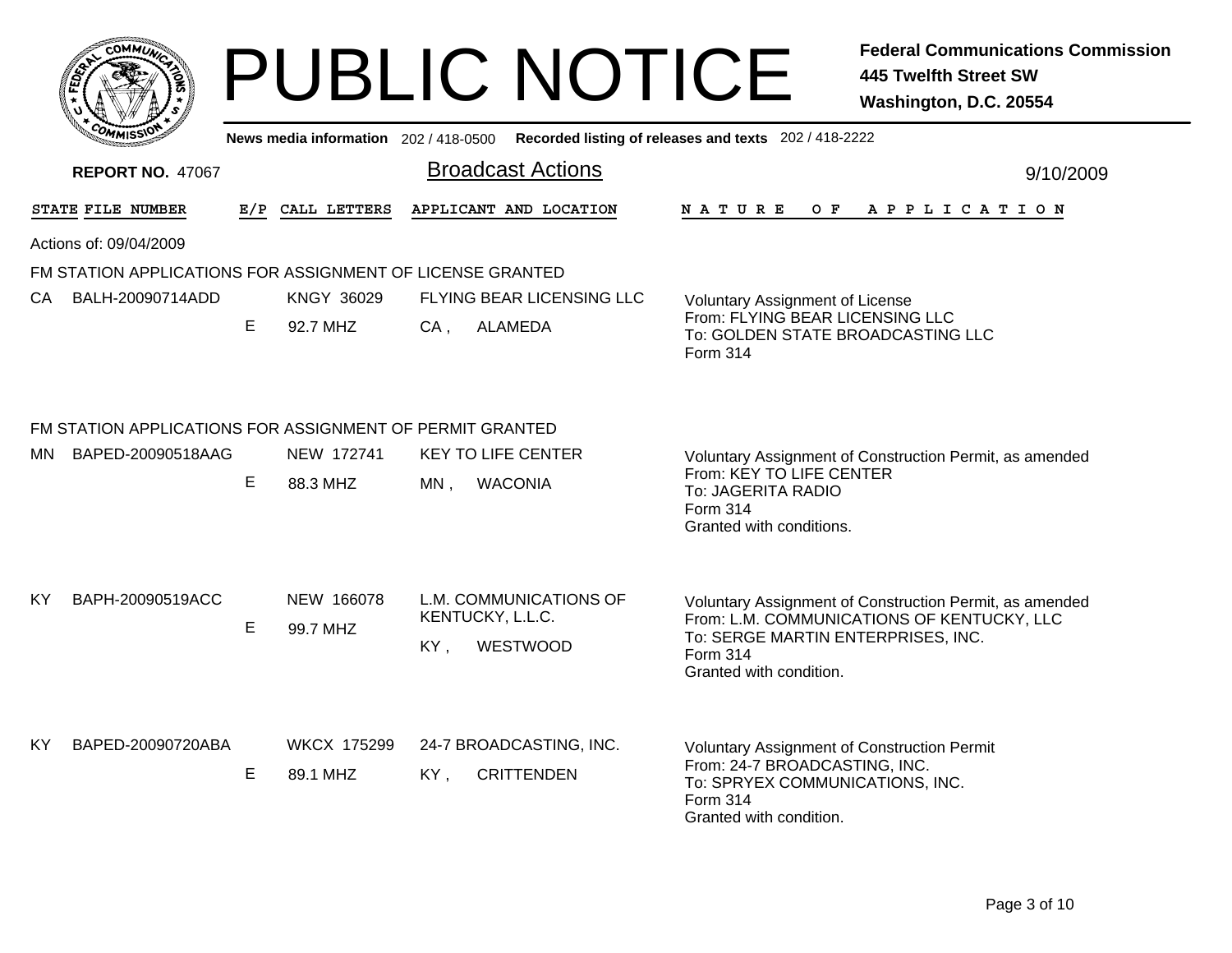|           | <b>COMMUN</b>                                             |     |                                       | <b>PUBLIC NOTICE</b>      | <b>Federal Communications Commission</b><br><b>445 Twelfth Street SW</b><br>Washington, D.C. 20554      |
|-----------|-----------------------------------------------------------|-----|---------------------------------------|---------------------------|---------------------------------------------------------------------------------------------------------|
|           |                                                           |     | News media information 202 / 418-0500 |                           | Recorded listing of releases and texts 202 / 418-2222                                                   |
|           | <b>REPORT NO. 47067</b>                                   |     |                                       | <b>Broadcast Actions</b>  | 9/10/2009                                                                                               |
|           | STATE FILE NUMBER                                         | E/P | CALL LETTERS                          | APPLICANT AND LOCATION    | N A T U R E<br>O F<br>APPLICATION                                                                       |
|           | Actions of: 09/04/2009                                    |     |                                       |                           |                                                                                                         |
|           | FM STATION APPLICATIONS FOR ASSIGNMENT OF LICENSE GRANTED |     |                                       |                           |                                                                                                         |
|           | CA BALH-20090714ADD                                       |     | <b>KNGY 36029</b>                     | FLYING BEAR LICENSING LLC | <b>Voluntary Assignment of License</b>                                                                  |
|           |                                                           | E   | 92.7 MHZ                              | <b>ALAMEDA</b><br>CA,     | From: FLYING BEAR LICENSING LLC<br>To: GOLDEN STATE BROADCASTING LLC<br>Form 314                        |
|           | FM STATION APPLICATIONS FOR ASSIGNMENT OF PERMIT GRANTED  |     |                                       |                           |                                                                                                         |
| MN        | BAPED-20090518AAG                                         |     | NEW 172741                            | <b>KEY TO LIFE CENTER</b> | Voluntary Assignment of Construction Permit, as amended                                                 |
|           |                                                           | E   | 88.3 MHZ                              | MN,<br><b>WACONIA</b>     | From: KEY TO LIFE CENTER<br>To: JAGERITA RADIO<br>Form 314<br>Granted with conditions.                  |
|           |                                                           |     |                                       |                           |                                                                                                         |
| KY        | BAPH-20090519ACC                                          |     | NEW 166078                            | L.M. COMMUNICATIONS OF    | Voluntary Assignment of Construction Permit, as amended                                                 |
|           |                                                           | E   | 99.7 MHZ                              | KENTUCKY, L.L.C.          | From: L.M. COMMUNICATIONS OF KENTUCKY, LLC<br>To: SERGE MARTIN ENTERPRISES, INC.                        |
|           |                                                           |     |                                       | WESTWOOD<br>KY,           | Form 314<br>Granted with condition.                                                                     |
| <b>KY</b> | BAPED-20090720ABA                                         |     | <b>WKCX 175299</b>                    | 24-7 BROADCASTING, INC.   | <b>Voluntary Assignment of Construction Permit</b>                                                      |
|           |                                                           | Е   | 89.1 MHZ                              | <b>CRITTENDEN</b><br>KY,  | From: 24-7 BROADCASTING, INC.<br>To: SPRYEX COMMUNICATIONS, INC.<br>Form 314<br>Granted with condition. |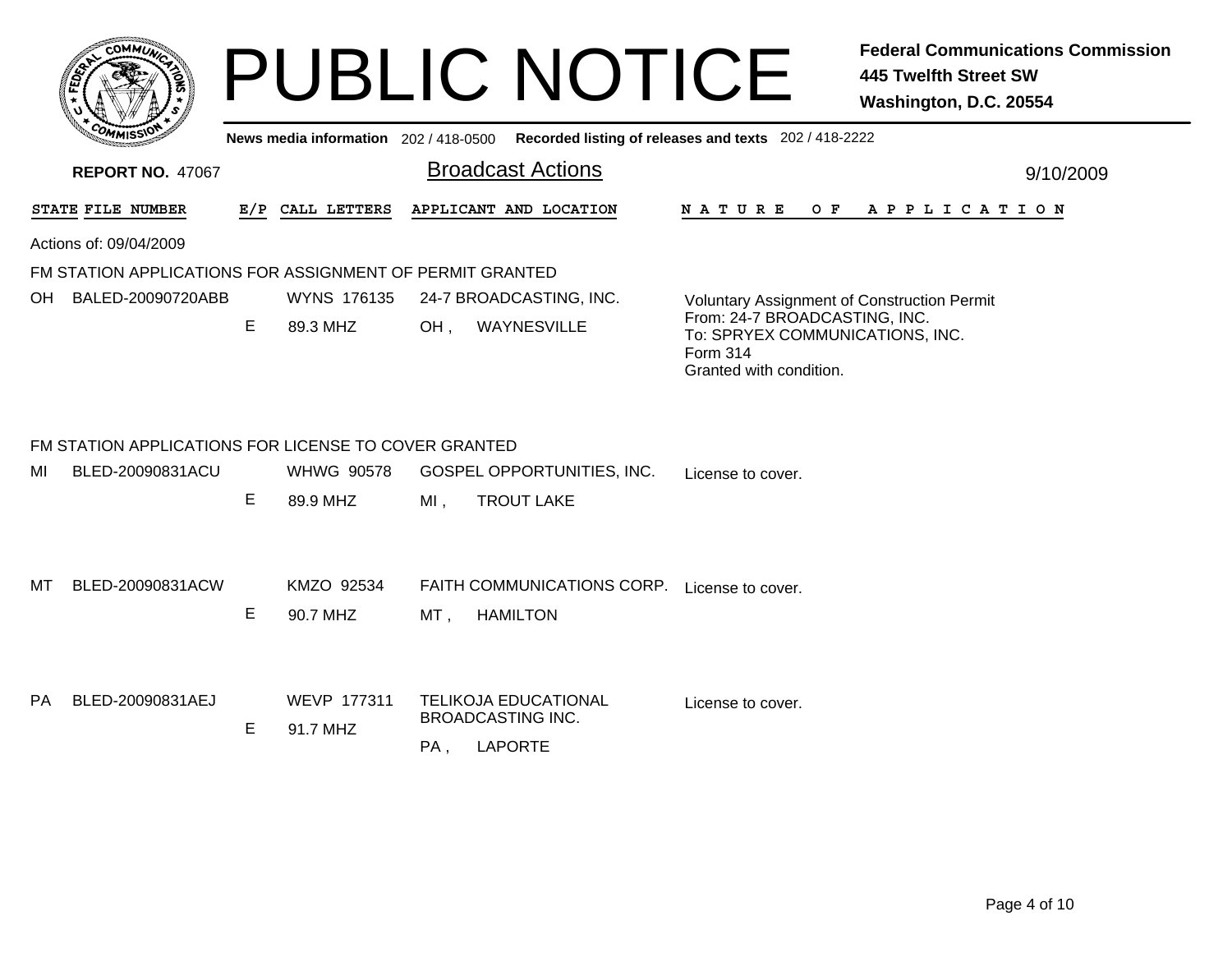|       | <b>COMMUNT</b>       |
|-------|----------------------|
| FEDET | ¢.<br>۰              |
|       | 77                   |
|       |                      |
|       | COMI<br>MISS\<br>mua |

## PUBLIC NOTICE **Federal Communications Commission 445 Twelfth Street SW Washington, D.C. 20554**

**News media information** 202 / 418-0500**Recorded listing of releases and texts** 202 / 418-2222

| <b>REPORT NO. 47067</b> |                                                                          |   |                         |     | <b>Broadcast Actions</b>                                                  |                                                                                                         | 9/10/2009 |
|-------------------------|--------------------------------------------------------------------------|---|-------------------------|-----|---------------------------------------------------------------------------|---------------------------------------------------------------------------------------------------------|-----------|
| STATE FILE NUMBER       |                                                                          |   | E/P CALL LETTERS        |     | APPLICANT AND LOCATION                                                    | <b>NATURE</b><br>O F<br>A P P L I C A T I O N                                                           |           |
|                         | Actions of: 09/04/2009                                                   |   |                         |     |                                                                           |                                                                                                         |           |
|                         | FM STATION APPLICATIONS FOR ASSIGNMENT OF PERMIT GRANTED                 |   |                         |     |                                                                           |                                                                                                         |           |
| OH                      | BALED-20090720ABB                                                        |   | WYNS 176135             |     | 24-7 BROADCASTING, INC.                                                   | <b>Voluntary Assignment of Construction Permit</b>                                                      |           |
|                         |                                                                          | Е | 89.3 MHZ                | OH, | WAYNESVILLE                                                               | From: 24-7 BROADCASTING, INC.<br>To: SPRYEX COMMUNICATIONS, INC.<br>Form 314<br>Granted with condition. |           |
| MI                      | FM STATION APPLICATIONS FOR LICENSE TO COVER GRANTED<br>BLED-20090831ACU |   | <b>WHWG 90578</b>       |     | GOSPEL OPPORTUNITIES, INC.                                                |                                                                                                         |           |
|                         |                                                                          | E | 89.9 MHZ                | MI, | <b>TROUT LAKE</b>                                                         | License to cover.                                                                                       |           |
| MT                      | BLED-20090831ACW                                                         | Е | KMZO 92534<br>90.7 MHZ  | MT, | FAITH COMMUNICATIONS CORP. License to cover.<br><b>HAMILTON</b>           |                                                                                                         |           |
| PA                      | BLED-20090831AEJ                                                         | Е | WEVP 177311<br>91.7 MHZ | PA, | <b>TELIKOJA EDUCATIONAL</b><br><b>BROADCASTING INC.</b><br><b>LAPORTE</b> | License to cover.                                                                                       |           |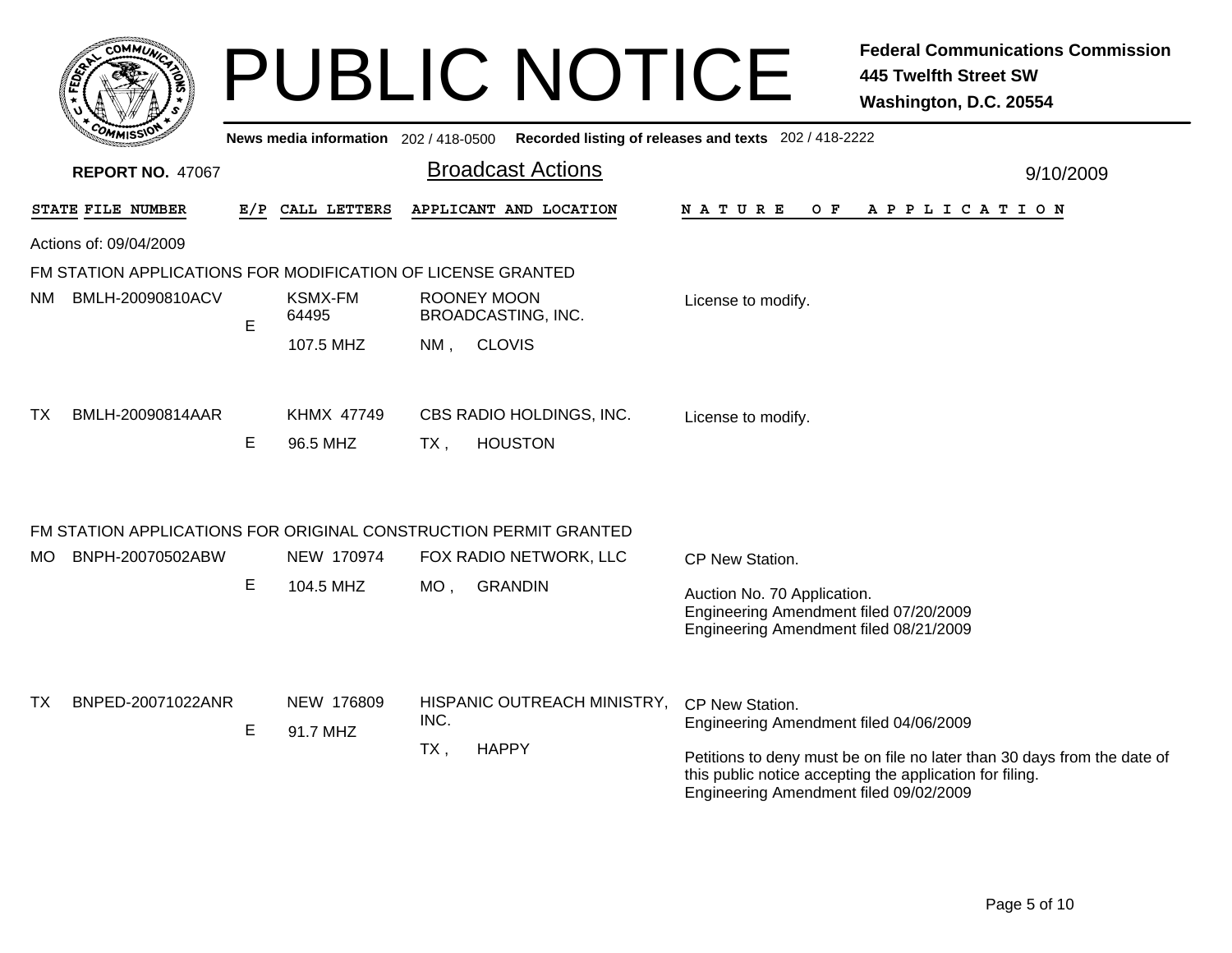|     | <b>COMMUT</b>                                                    |   |                                     |        | <b>PUBLIC NOTICE</b>                            |                                                                                                                 | <b>Federal Communications Commission</b><br><b>445 Twelfth Street SW</b><br>Washington, D.C. 20554                                   |
|-----|------------------------------------------------------------------|---|-------------------------------------|--------|-------------------------------------------------|-----------------------------------------------------------------------------------------------------------------|--------------------------------------------------------------------------------------------------------------------------------------|
|     |                                                                  |   | News media information 202/418-0500 |        |                                                 | Recorded listing of releases and texts 202 / 418-2222                                                           |                                                                                                                                      |
|     | <b>REPORT NO. 47067</b>                                          |   |                                     |        | <b>Broadcast Actions</b>                        |                                                                                                                 | 9/10/2009                                                                                                                            |
|     | STATE FILE NUMBER                                                |   | E/P CALL LETTERS                    |        | APPLICANT AND LOCATION                          | N A T U R E<br>O F                                                                                              | A P P L I C A T I O N                                                                                                                |
|     | Actions of: 09/04/2009                                           |   |                                     |        |                                                 |                                                                                                                 |                                                                                                                                      |
|     | FM STATION APPLICATIONS FOR MODIFICATION OF LICENSE GRANTED      |   |                                     |        |                                                 |                                                                                                                 |                                                                                                                                      |
| NM. | BMLH-20090810ACV                                                 | E | <b>KSMX-FM</b><br>64495             |        | <b>ROONEY MOON</b><br><b>BROADCASTING, INC.</b> | License to modify.                                                                                              |                                                                                                                                      |
|     |                                                                  |   | 107.5 MHZ                           | NM,    | <b>CLOVIS</b>                                   |                                                                                                                 |                                                                                                                                      |
| TX. | BMLH-20090814AAR                                                 | E | <b>KHMX 47749</b><br>96.5 MHZ       | $TX$ , | CBS RADIO HOLDINGS, INC.<br><b>HOUSTON</b>      | License to modify.                                                                                              |                                                                                                                                      |
|     | FM STATION APPLICATIONS FOR ORIGINAL CONSTRUCTION PERMIT GRANTED |   |                                     |        |                                                 |                                                                                                                 |                                                                                                                                      |
| MO. | BNPH-20070502ABW                                                 |   | NEW 170974                          |        | FOX RADIO NETWORK, LLC                          | CP New Station.                                                                                                 |                                                                                                                                      |
|     |                                                                  | Е | 104.5 MHZ                           | $MO$ , | <b>GRANDIN</b>                                  | Auction No. 70 Application.<br>Engineering Amendment filed 07/20/2009<br>Engineering Amendment filed 08/21/2009 |                                                                                                                                      |
|     |                                                                  |   |                                     |        |                                                 |                                                                                                                 |                                                                                                                                      |
| TX. | BNPED-20071022ANR                                                | Е | NEW 176809                          | INC.   | HISPANIC OUTREACH MINISTRY,                     | CP New Station.<br>Engineering Amendment filed 04/06/2009                                                       |                                                                                                                                      |
|     |                                                                  |   | 91.7 MHZ                            | $TX$ , | <b>HAPPY</b>                                    | Engineering Amendment filed 09/02/2009                                                                          | Petitions to deny must be on file no later than 30 days from the date of<br>this public notice accepting the application for filing. |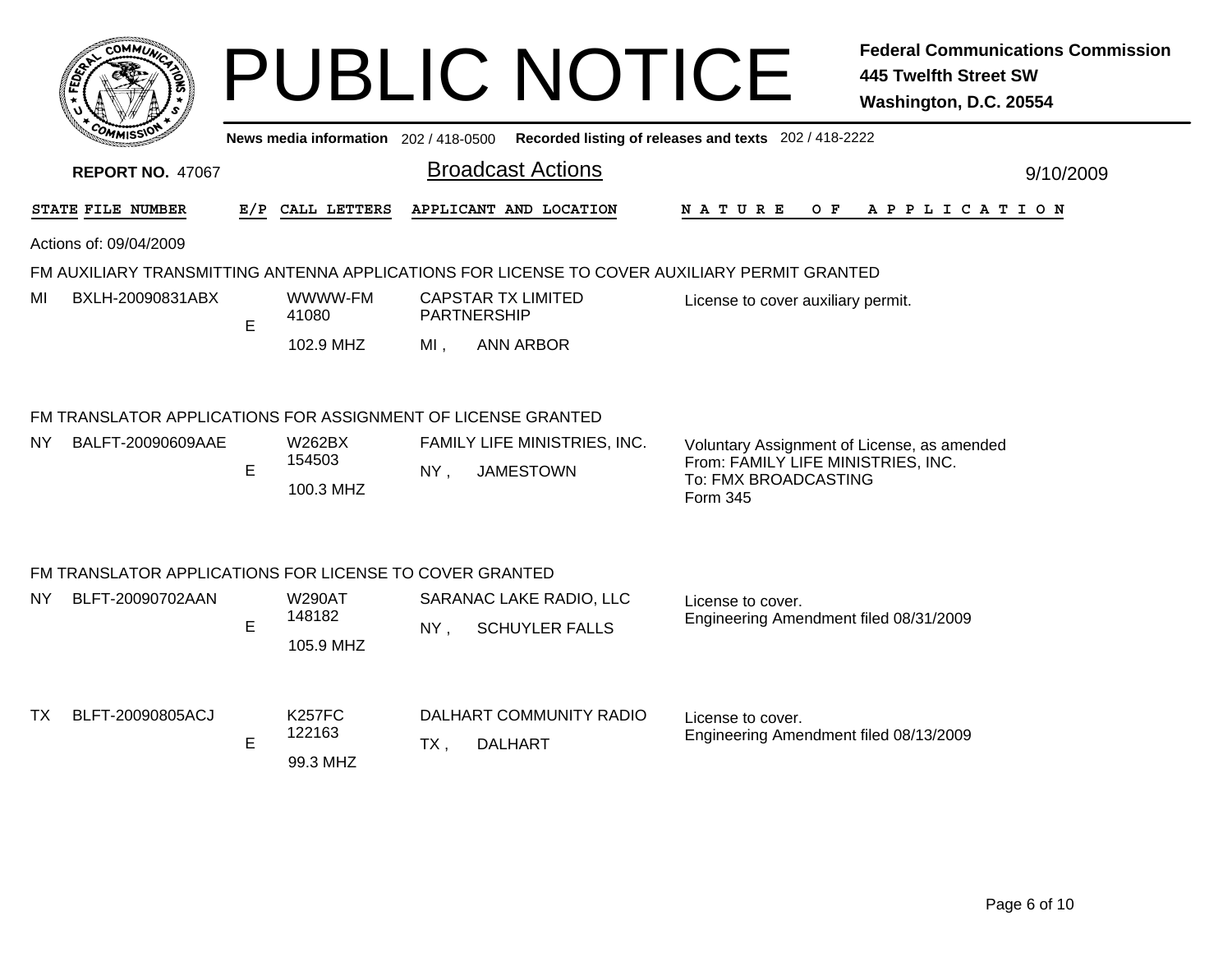|                                                                                              | COMMI                                                                             |     |                                      |             | <b>PUBLIC NOTICE</b>                             |                                                                                                                       | <b>Federal Communications Commission</b><br><b>445 Twelfth Street SW</b><br>Washington, D.C. 20554 |  |  |
|----------------------------------------------------------------------------------------------|-----------------------------------------------------------------------------------|-----|--------------------------------------|-------------|--------------------------------------------------|-----------------------------------------------------------------------------------------------------------------------|----------------------------------------------------------------------------------------------------|--|--|
| Recorded listing of releases and texts 202 / 418-2222<br>News media information 202/418-0500 |                                                                                   |     |                                      |             |                                                  |                                                                                                                       |                                                                                                    |  |  |
| <b>Broadcast Actions</b><br><b>REPORT NO. 47067</b><br>9/10/2009                             |                                                                                   |     |                                      |             |                                                  |                                                                                                                       |                                                                                                    |  |  |
|                                                                                              | STATE FILE NUMBER                                                                 | E/P | CALL LETTERS                         |             | APPLICANT AND LOCATION                           | <b>NATURE</b>                                                                                                         | OF APPLICATION                                                                                     |  |  |
|                                                                                              | Actions of: 09/04/2009                                                            |     |                                      |             |                                                  |                                                                                                                       |                                                                                                    |  |  |
|                                                                                              |                                                                                   |     |                                      |             |                                                  | FM AUXILIARY TRANSMITTING ANTENNA APPLICATIONS FOR LICENSE TO COVER AUXILIARY PERMIT GRANTED                          |                                                                                                    |  |  |
| МI                                                                                           | BXLH-20090831ABX                                                                  | E   | WWWW-FM<br>41080                     | PARTNERSHIP | <b>CAPSTAR TX LIMITED</b>                        | License to cover auxiliary permit.                                                                                    |                                                                                                    |  |  |
|                                                                                              |                                                                                   |     | 102.9 MHZ                            | MI,         | <b>ANN ARBOR</b>                                 |                                                                                                                       |                                                                                                    |  |  |
| NY                                                                                           | FM TRANSLATOR APPLICATIONS FOR ASSIGNMENT OF LICENSE GRANTED<br>BALFT-20090609AAE | E   | <b>W262BX</b><br>154503<br>100.3 MHZ | $NY$ ,      | FAMILY LIFE MINISTRIES, INC.<br><b>JAMESTOWN</b> | Voluntary Assignment of License, as amended<br>From: FAMILY LIFE MINISTRIES, INC.<br>To: FMX BROADCASTING<br>Form 345 |                                                                                                    |  |  |
|                                                                                              | FM TRANSLATOR APPLICATIONS FOR LICENSE TO COVER GRANTED                           |     |                                      |             |                                                  |                                                                                                                       |                                                                                                    |  |  |
| NY.                                                                                          | BLFT-20090702AAN                                                                  | E   | <b>W290AT</b><br>148182<br>105.9 MHZ | $NY$ ,      | SARANAC LAKE RADIO, LLC<br><b>SCHUYLER FALLS</b> | License to cover.<br>Engineering Amendment filed 08/31/2009                                                           |                                                                                                    |  |  |
| TX T                                                                                         | BLFT-20090805ACJ                                                                  | E   | <b>K257FC</b><br>122163<br>99.3 MHZ  | TX,         | DALHART COMMUNITY RADIO<br><b>DALHART</b>        | License to cover.<br>Engineering Amendment filed 08/13/2009                                                           |                                                                                                    |  |  |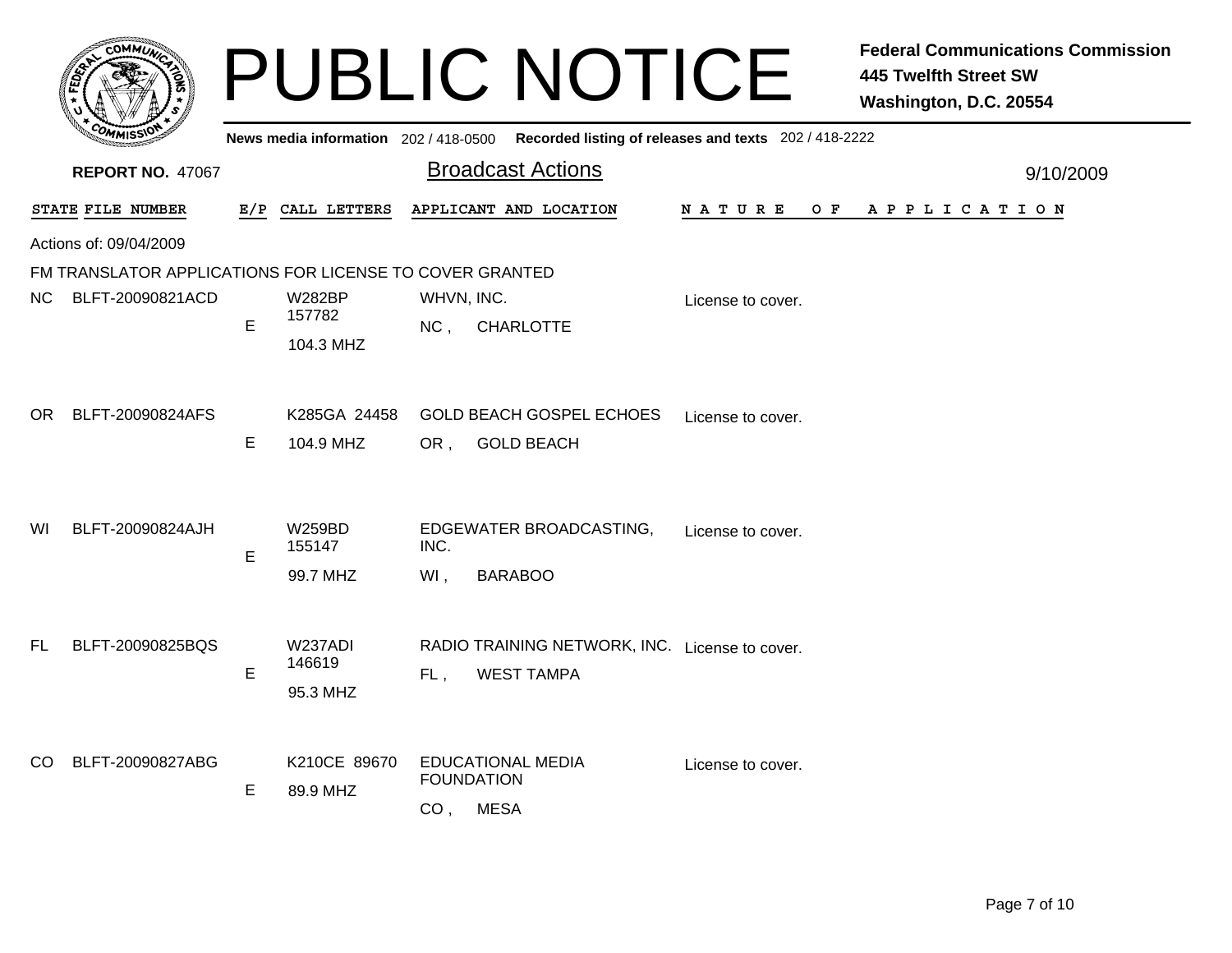|                                                         |    |                                      |                                      | <b>PUBLIC NOTICE</b>                                                                        |                    | <b>Federal Communications Commission</b><br><b>445 Twelfth Street SW</b><br>Washington, D.C. 20554 |
|---------------------------------------------------------|----|--------------------------------------|--------------------------------------|---------------------------------------------------------------------------------------------|--------------------|----------------------------------------------------------------------------------------------------|
|                                                         |    |                                      |                                      | News media information 202 / 418-0500 Recorded listing of releases and texts 202 / 418-2222 |                    |                                                                                                    |
| <b>REPORT NO. 47067</b>                                 |    |                                      |                                      | <b>Broadcast Actions</b>                                                                    |                    | 9/10/2009                                                                                          |
| STATE FILE NUMBER                                       |    | E/P CALL LETTERS                     |                                      | APPLICANT AND LOCATION                                                                      | O F<br>N A T U R E | A P P L I C A T I O N                                                                              |
| Actions of: 09/04/2009                                  |    |                                      |                                      |                                                                                             |                    |                                                                                                    |
| FM TRANSLATOR APPLICATIONS FOR LICENSE TO COVER GRANTED |    |                                      |                                      |                                                                                             |                    |                                                                                                    |
| NC.<br>BLFT-20090821ACD                                 | E  | <b>W282BP</b><br>157782<br>104.3 MHZ | WHVN, INC.<br>NC,                    | <b>CHARLOTTE</b>                                                                            | License to cover.  |                                                                                                    |
| BLFT-20090824AFS<br>OR.                                 | E. | K285GA 24458<br>104.9 MHZ            | OR,                                  | <b>GOLD BEACH GOSPEL ECHOES</b><br><b>GOLD BEACH</b>                                        | License to cover.  |                                                                                                    |
| BLFT-20090824AJH<br>WI                                  | E  | <b>W259BD</b><br>155147<br>99.7 MHZ  | INC.<br>$WI$ ,                       | EDGEWATER BROADCASTING,<br><b>BARABOO</b>                                                   | License to cover.  |                                                                                                    |
| BLFT-20090825BQS<br>FL                                  | E. | W237ADI<br>146619<br>95.3 MHZ        | FL,                                  | RADIO TRAINING NETWORK, INC. License to cover.<br><b>WEST TAMPA</b>                         |                    |                                                                                                    |
| BLFT-20090827ABG<br>CO.                                 | E. | K210CE 89670<br>89.9 MHZ             | <b>FOUNDATION</b><br>CO <sub>1</sub> | <b>EDUCATIONAL MEDIA</b><br><b>MESA</b>                                                     | License to cover.  |                                                                                                    |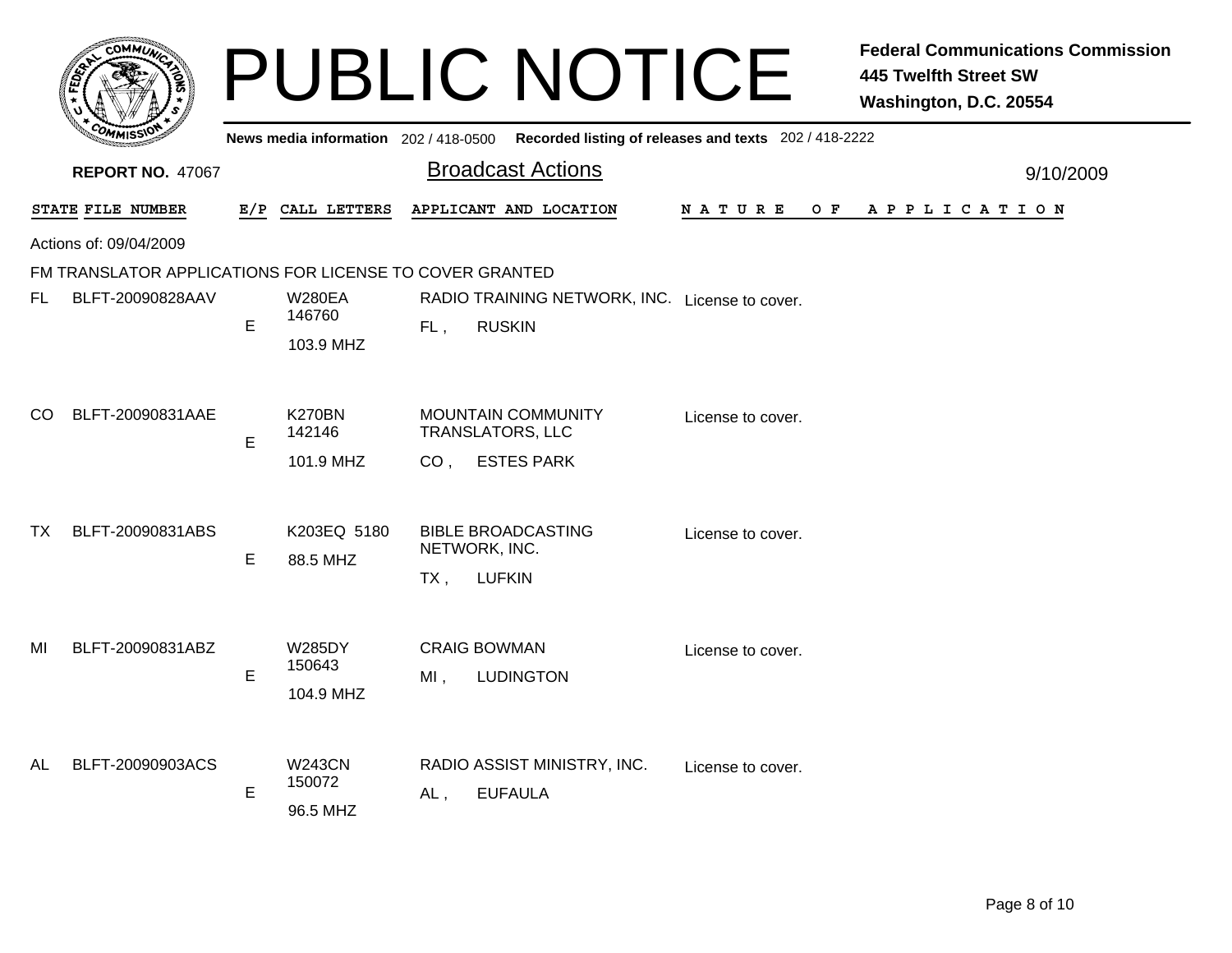|     |                                                         |     |                                      |                                            | <b>PUBLIC NOTICE</b>                                            |                                                       | <b>Federal Communications Commission</b><br><b>445 Twelfth Street SW</b><br>Washington, D.C. 20554 |
|-----|---------------------------------------------------------|-----|--------------------------------------|--------------------------------------------|-----------------------------------------------------------------|-------------------------------------------------------|----------------------------------------------------------------------------------------------------|
|     |                                                         |     | News media information 202/418-0500  |                                            |                                                                 | Recorded listing of releases and texts 202 / 418-2222 |                                                                                                    |
|     | <b>REPORT NO. 47067</b>                                 |     |                                      |                                            | <b>Broadcast Actions</b>                                        |                                                       | 9/10/2009                                                                                          |
|     | STATE FILE NUMBER                                       | E/P | CALL LETTERS                         |                                            | APPLICANT AND LOCATION                                          | N A T U R E<br>O F                                    | A P P L I C A T I O N                                                                              |
|     | Actions of: 09/04/2009                                  |     |                                      |                                            |                                                                 |                                                       |                                                                                                    |
|     | FM TRANSLATOR APPLICATIONS FOR LICENSE TO COVER GRANTED |     |                                      |                                            |                                                                 |                                                       |                                                                                                    |
| FL. | BLFT-20090828AAV                                        | E   | <b>W280EA</b><br>146760<br>103.9 MHZ | FL,                                        | RADIO TRAINING NETWORK, INC. License to cover.<br><b>RUSKIN</b> |                                                       |                                                                                                    |
| CO  | BLFT-20090831AAE                                        | E   | <b>K270BN</b><br>142146<br>101.9 MHZ | <b>TRANSLATORS, LLC</b><br>CO <sub>1</sub> | <b>MOUNTAIN COMMUNITY</b><br><b>ESTES PARK</b>                  | License to cover.                                     |                                                                                                    |
| ТX  | BLFT-20090831ABS                                        | E   | K203EQ 5180<br>88.5 MHZ              | NETWORK, INC.<br>TX,                       | <b>BIBLE BROADCASTING</b><br><b>LUFKIN</b>                      | License to cover.                                     |                                                                                                    |
| MI  | BLFT-20090831ABZ                                        | E   | <b>W285DY</b><br>150643<br>104.9 MHZ | <b>CRAIG BOWMAN</b><br>MI,                 | <b>LUDINGTON</b>                                                | License to cover.                                     |                                                                                                    |
| AL  | BLFT-20090903ACS                                        | Е   | <b>W243CN</b><br>150072<br>96.5 MHZ  | AL,                                        | RADIO ASSIST MINISTRY, INC.<br><b>EUFAULA</b>                   | License to cover.                                     |                                                                                                    |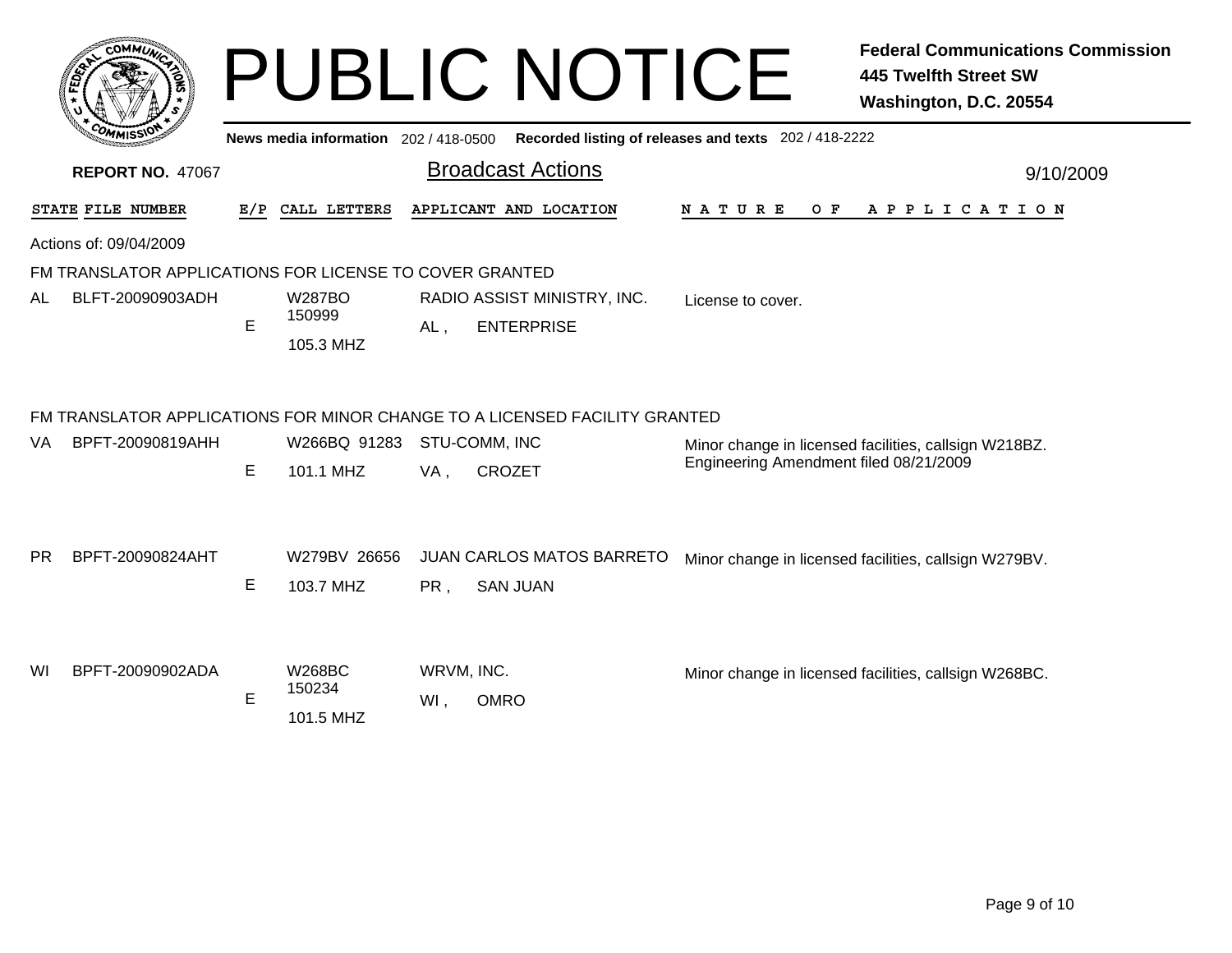|           | <b>сОММО</b>                                            |     |                                      |                   | <b>PUBLIC NOTICE</b>                                                       |                                                       | <b>Federal Communications Commission</b><br><b>445 Twelfth Street SW</b><br>Washington, D.C. 20554 |
|-----------|---------------------------------------------------------|-----|--------------------------------------|-------------------|----------------------------------------------------------------------------|-------------------------------------------------------|----------------------------------------------------------------------------------------------------|
|           |                                                         |     | News media information 202/418-0500  |                   |                                                                            | Recorded listing of releases and texts 202 / 418-2222 |                                                                                                    |
|           | <b>REPORT NO. 47067</b>                                 |     |                                      |                   | <b>Broadcast Actions</b>                                                   |                                                       | 9/10/2009                                                                                          |
|           | STATE FILE NUMBER                                       | E/P | CALL LETTERS                         |                   | APPLICANT AND LOCATION                                                     | <b>NATURE</b><br>O F                                  | A P P L I C A T I O N                                                                              |
|           | Actions of: 09/04/2009                                  |     |                                      |                   |                                                                            |                                                       |                                                                                                    |
|           | FM TRANSLATOR APPLICATIONS FOR LICENSE TO COVER GRANTED |     |                                      |                   |                                                                            |                                                       |                                                                                                    |
| AL        | BLFT-20090903ADH                                        | E   | <b>W287BO</b><br>150999<br>105.3 MHZ | AL,               | RADIO ASSIST MINISTRY, INC.<br><b>ENTERPRISE</b>                           | License to cover.                                     |                                                                                                    |
|           |                                                         |     |                                      |                   | FM TRANSLATOR APPLICATIONS FOR MINOR CHANGE TO A LICENSED FACILITY GRANTED |                                                       |                                                                                                    |
| VA        | BPFT-20090819AHH                                        | E   | W266BQ 91283<br>101.1 MHZ            | VA,               | STU-COMM, INC<br>CROZET                                                    | Engineering Amendment filed 08/21/2009                | Minor change in licensed facilities, callsign W218BZ.                                              |
| <b>PR</b> | BPFT-20090824AHT                                        | E   | W279BV 26656<br>103.7 MHZ            | PR,               | <b>JUAN CARLOS MATOS BARRETO</b><br><b>SAN JUAN</b>                        |                                                       | Minor change in licensed facilities, callsign W279BV.                                              |
| WI        | BPFT-20090902ADA                                        | Е   | <b>W268BC</b><br>150234<br>101.5 MHZ | WRVM, INC.<br>WI, | <b>OMRO</b>                                                                |                                                       | Minor change in licensed facilities, callsign W268BC.                                              |